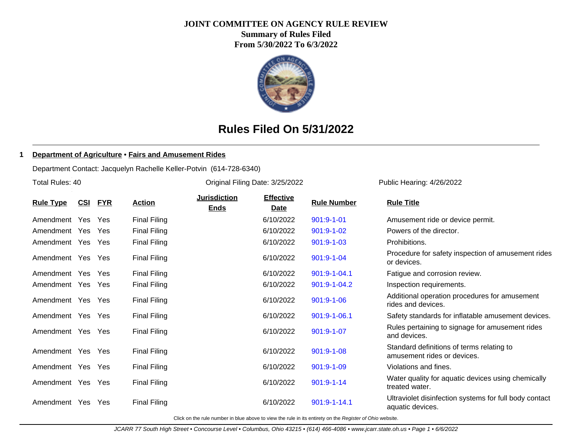#### **JOINT COMMITTEE ON AGENCY RULE REVIEW**

**Summary of Rules Filed From 5/30/2022 To 6/3/2022**



## **Rules Filed On 5/31/2022**

#### **1 Department of Agriculture** • **Fairs and Amusement Rides**

Department Contact: Jacquelyn Rachelle Keller-Potvin (614-728-6340)

Total Rules: 40

Original Filing Date: 3/25/2022 Public Hearing: 4/26/2022

| <b>Rule Type</b>  | CSI | <u>FYR</u> | <b>Action</b>       | <b>Jurisdiction</b> | <b>Effective</b> | <b>Rule Number</b> | <b>Rule Title</b>                                                          |
|-------------------|-----|------------|---------------------|---------------------|------------------|--------------------|----------------------------------------------------------------------------|
|                   |     |            |                     | <b>Ends</b>         | <b>Date</b>      |                    |                                                                            |
| Amendment Yes     |     | Yes        | <b>Final Filing</b> |                     | 6/10/2022        | $901:9 - 1 - 01$   | Amusement ride or device permit.                                           |
| Amendment Yes     |     | Yes        | <b>Final Filing</b> |                     | 6/10/2022        | $901:9 - 1 - 02$   | Powers of the director.                                                    |
| Amendment Yes Yes |     |            | <b>Final Filing</b> |                     | 6/10/2022        | $901:9 - 1 - 03$   | Prohibitions.                                                              |
| Amendment Yes Yes |     |            | <b>Final Filing</b> |                     | 6/10/2022        | 901:9-1-04         | Procedure for safety inspection of amusement rides<br>or devices.          |
| Amendment Yes Yes |     |            | <b>Final Filing</b> |                     | 6/10/2022        | 901:9-1-04.1       | Fatigue and corrosion review.                                              |
| Amendment Yes Yes |     |            | <b>Final Filing</b> |                     | 6/10/2022        | $901:9 - 1 - 04.2$ | Inspection requirements.                                                   |
| Amendment Yes Yes |     |            | <b>Final Filing</b> |                     | 6/10/2022        | $901:9 - 1 - 06$   | Additional operation procedures for amusement<br>rides and devices.        |
| Amendment Yes Yes |     |            | <b>Final Filing</b> |                     | 6/10/2022        | 901:9-1-06.1       | Safety standards for inflatable amusement devices.                         |
| Amendment Yes Yes |     |            | <b>Final Filing</b> |                     | 6/10/2022        | 901:9-1-07         | Rules pertaining to signage for amusement rides<br>and devices.            |
| Amendment Yes Yes |     |            | <b>Final Filing</b> |                     | 6/10/2022        | 901:9-1-08         | Standard definitions of terms relating to<br>amusement rides or devices.   |
| Amendment Yes Yes |     |            | <b>Final Filing</b> |                     | 6/10/2022        | 901:9-1-09         | Violations and fines.                                                      |
| Amendment Yes Yes |     |            | <b>Final Filing</b> |                     | 6/10/2022        | $901:9 - 1 - 14$   | Water quality for aquatic devices using chemically<br>treated water.       |
| Amendment Yes     |     | Yes        | <b>Final Filing</b> |                     | 6/10/2022        | 901:9-1-14.1       | Ultraviolet disinfection systems for full body contact<br>aquatic devices. |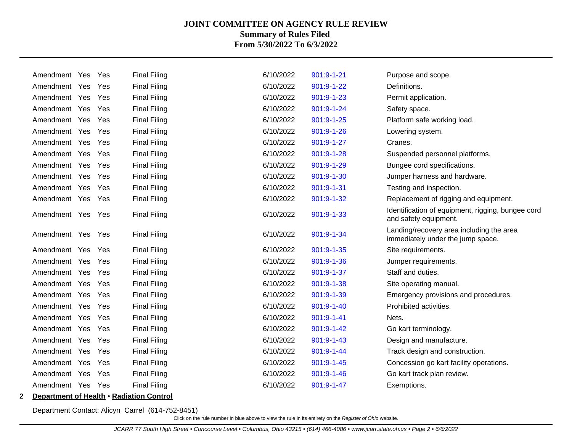| Amendment Yes |     | Yes | <b>Final Filing</b> | 6/10/2022 | $901:9 - 1 - 21$ | Purpose and scope.                                                            |
|---------------|-----|-----|---------------------|-----------|------------------|-------------------------------------------------------------------------------|
| Amendment Yes |     | Yes | <b>Final Filing</b> | 6/10/2022 | 901:9-1-22       | Definitions.                                                                  |
| Amendment     | Yes | Yes | <b>Final Filing</b> | 6/10/2022 | 901:9-1-23       | Permit application.                                                           |
| Amendment     | Yes | Yes | <b>Final Filing</b> | 6/10/2022 | $901:9 - 1 - 24$ | Safety space.                                                                 |
| Amendment Yes |     | Yes | <b>Final Filing</b> | 6/10/2022 | $901:9 - 1 - 25$ | Platform safe working load.                                                   |
| Amendment Yes |     | Yes | <b>Final Filing</b> | 6/10/2022 | $901:9 - 1 - 26$ | Lowering system.                                                              |
| Amendment Yes |     | Yes | <b>Final Filing</b> | 6/10/2022 | 901:9-1-27       | Cranes.                                                                       |
| Amendment     | Yes | Yes | <b>Final Filing</b> | 6/10/2022 | 901:9-1-28       | Suspended personnel platforms.                                                |
| Amendment Yes |     | Yes | <b>Final Filing</b> | 6/10/2022 | 901:9-1-29       | Bungee cord specifications.                                                   |
| Amendment     | Yes | Yes | <b>Final Filing</b> | 6/10/2022 | 901:9-1-30       | Jumper harness and hardware.                                                  |
| Amendment     | Yes | Yes | <b>Final Filing</b> | 6/10/2022 | 901:9-1-31       | Testing and inspection.                                                       |
| Amendment Yes |     | Yes | <b>Final Filing</b> | 6/10/2022 | 901:9-1-32       | Replacement of rigging and equipment.                                         |
| Amendment Yes |     | Yes | <b>Final Filing</b> | 6/10/2022 | 901:9-1-33       | Identification of equipment, rigging, bungee cord<br>and safety equipment.    |
| Amendment Yes |     | Yes | <b>Final Filing</b> | 6/10/2022 | 901:9-1-34       | Landing/recovery area including the area<br>immediately under the jump space. |
| Amendment Yes |     | Yes | <b>Final Filing</b> | 6/10/2022 | 901:9-1-35       | Site requirements.                                                            |
| Amendment Yes |     | Yes | <b>Final Filing</b> | 6/10/2022 | 901:9-1-36       | Jumper requirements.                                                          |
| Amendment     | Yes | Yes | <b>Final Filing</b> | 6/10/2022 | 901:9-1-37       | Staff and duties.                                                             |
| Amendment     | Yes | Yes | <b>Final Filing</b> | 6/10/2022 | 901:9-1-38       | Site operating manual.                                                        |
| Amendment Yes |     | Yes | <b>Final Filing</b> | 6/10/2022 | 901:9-1-39       | Emergency provisions and procedures.                                          |
| Amendment Yes |     | Yes | <b>Final Filing</b> | 6/10/2022 | $901:9 - 1 - 40$ | Prohibited activities.                                                        |
| Amendment Yes |     | Yes | <b>Final Filing</b> | 6/10/2022 | 901:9-1-41       | Nets.                                                                         |
| Amendment     | Yes | Yes | <b>Final Filing</b> | 6/10/2022 | $901:9 - 1 - 42$ | Go kart terminology.                                                          |
| Amendment Yes |     | Yes | <b>Final Filing</b> | 6/10/2022 | 901:9-1-43       | Design and manufacture.                                                       |
| Amendment     | Yes | Yes | <b>Final Filing</b> | 6/10/2022 | 901:9-1-44       | Track design and construction.                                                |
| Amendment     | Yes | Yes | <b>Final Filing</b> | 6/10/2022 | $901:9 - 1 - 45$ | Concession go kart facility operations.                                       |
| Amendment Yes |     | Yes | <b>Final Filing</b> | 6/10/2022 | $901:9 - 1 - 46$ | Go kart track plan review.                                                    |
| Amendment Yes |     | Yes | <b>Final Filing</b> | 6/10/2022 | 901:9-1-47       | Exemptions.                                                                   |
|               |     |     |                     |           |                  |                                                                               |

**2 Department of Health** • **Radiation Control**

Department Contact: Alicyn Carrel (614-752-8451)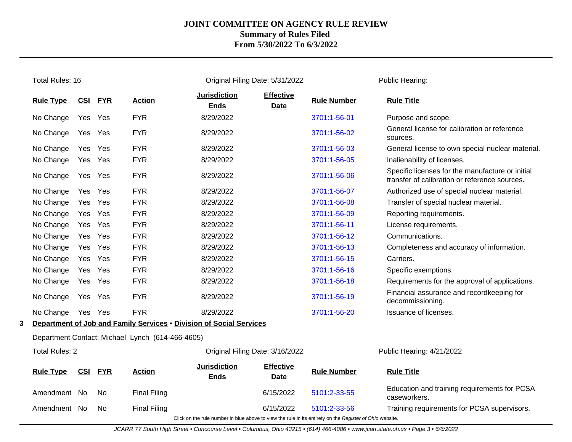|   | <b>Total Rules: 16</b> |            |            |                                                  |                                                                                                          | Original Filing Date: 5/31/2022 |                    | Public Hearing:                                                                                   |
|---|------------------------|------------|------------|--------------------------------------------------|----------------------------------------------------------------------------------------------------------|---------------------------------|--------------------|---------------------------------------------------------------------------------------------------|
|   | <b>Rule Type</b>       | CSI        | <b>FYR</b> | <b>Action</b>                                    | <b>Jurisdiction</b><br><b>Ends</b>                                                                       | <b>Effective</b><br>Date        | <b>Rule Number</b> | <b>Rule Title</b>                                                                                 |
|   | No Change              | Yes        | Yes        | <b>FYR</b>                                       | 8/29/2022                                                                                                |                                 | 3701:1-56-01       | Purpose and scope.                                                                                |
|   | No Change              | Yes        | Yes        | <b>FYR</b>                                       | 8/29/2022                                                                                                |                                 | 3701:1-56-02       | General license for calibration or reference<br>sources.                                          |
|   | No Change              | Yes        | Yes        | <b>FYR</b>                                       | 8/29/2022                                                                                                |                                 | 3701:1-56-03       | General license to own special nuclear material.                                                  |
|   | No Change              | Yes        | Yes        | <b>FYR</b>                                       | 8/29/2022                                                                                                |                                 | 3701:1-56-05       | Inalienability of licenses.                                                                       |
|   | No Change              |            | Yes Yes    | <b>FYR</b>                                       | 8/29/2022                                                                                                |                                 | 3701:1-56-06       | Specific licenses for the manufacture or initial<br>transfer of calibration or reference sources. |
|   | No Change              | Yes        | Yes        | <b>FYR</b>                                       | 8/29/2022                                                                                                |                                 | 3701:1-56-07       | Authorized use of special nuclear material.                                                       |
|   | No Change              | Yes        | Yes        | <b>FYR</b>                                       | 8/29/2022                                                                                                |                                 | 3701:1-56-08       | Transfer of special nuclear material.                                                             |
|   | No Change              | Yes        | Yes        | <b>FYR</b>                                       | 8/29/2022                                                                                                |                                 | 3701:1-56-09       | Reporting requirements.                                                                           |
|   | No Change              | Yes        | Yes        | <b>FYR</b>                                       | 8/29/2022                                                                                                |                                 | 3701:1-56-11       | License requirements.                                                                             |
|   | No Change              | Yes        | Yes        | <b>FYR</b>                                       | 8/29/2022                                                                                                |                                 | 3701:1-56-12       | Communications.                                                                                   |
|   | No Change              | Yes        | Yes        | <b>FYR</b>                                       | 8/29/2022                                                                                                |                                 | 3701:1-56-13       | Completeness and accuracy of information.                                                         |
|   | No Change              | Yes        | Yes        | <b>FYR</b>                                       | 8/29/2022                                                                                                |                                 | 3701:1-56-15       | Carriers.                                                                                         |
|   | No Change              | Yes        | Yes        | <b>FYR</b>                                       | 8/29/2022                                                                                                |                                 | 3701:1-56-16       | Specific exemptions.                                                                              |
|   | No Change              | Yes        | Yes        | <b>FYR</b>                                       | 8/29/2022                                                                                                |                                 | 3701:1-56-18       | Requirements for the approval of applications.                                                    |
|   | No Change              | Yes        | Yes        | <b>FYR</b>                                       | 8/29/2022                                                                                                |                                 | 3701:1-56-19       | Financial assurance and recordkeeping for<br>decommissioning.                                     |
|   | No Change              |            | Yes Yes    | <b>FYR</b>                                       | 8/29/2022                                                                                                |                                 | 3701:1-56-20       | Issuance of licenses.                                                                             |
| 3 |                        |            |            |                                                  | Department of Job and Family Services . Division of Social Services                                      |                                 |                    |                                                                                                   |
|   |                        |            |            | Department Contact: Michael Lynch (614-466-4605) |                                                                                                          |                                 |                    |                                                                                                   |
|   | <b>Total Rules: 2</b>  |            |            | Original Filing Date: 3/16/2022                  |                                                                                                          | Public Hearing: 4/21/2022       |                    |                                                                                                   |
|   | <b>Rule Type</b>       | <u>CSI</u> | <b>FYR</b> | <b>Action</b>                                    | <b>Jurisdiction</b><br><b>Ends</b>                                                                       | <b>Effective</b><br><b>Date</b> | <b>Rule Number</b> | <b>Rule Title</b>                                                                                 |
|   | Amendment No           |            | No.        | <b>Final Filing</b>                              |                                                                                                          | 6/15/2022                       | 5101:2-33-55       | Education and training requirements for PCSA<br>caseworkers.                                      |
|   | Amendment No           |            | No         | <b>Final Filing</b>                              |                                                                                                          | 6/15/2022                       | 5101:2-33-56       | Training requirements for PCSA supervisors.                                                       |
|   |                        |            |            |                                                  | Click on the rule number in blue above to view the rule in its entirety on the Register of Ohio website. |                                 |                    |                                                                                                   |

JCARR 77 South High Street • Concourse Level • Columbus, Ohio 43215 • (614) 466-4086 • www.jcarr.state.oh.us • Page 3 • 6/6/2022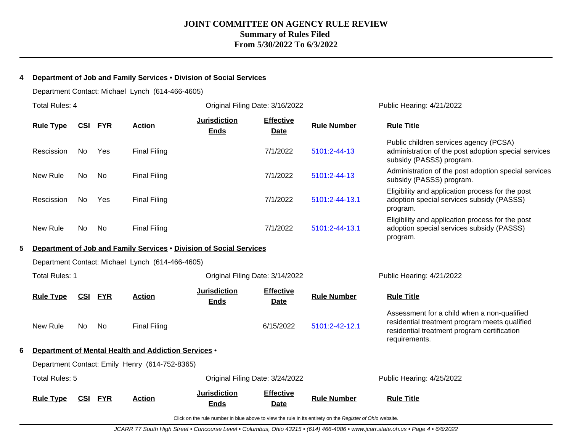#### **4 Department of Job and Family Services** • **Division of Social Services**

Department Contact: Michael Lynch (614-466-4605)

|   | <b>Total Rules: 4</b>                            |            |            |                                                      | Original Filing Date: 3/16/2022                                     |                                 |                    | Public Hearing: 4/21/2022                                                                                                                                    |
|---|--------------------------------------------------|------------|------------|------------------------------------------------------|---------------------------------------------------------------------|---------------------------------|--------------------|--------------------------------------------------------------------------------------------------------------------------------------------------------------|
|   | <b>Rule Type</b>                                 | <u>CSI</u> | <b>FYR</b> | <b>Action</b>                                        | <b>Jurisdiction</b><br><b>Ends</b>                                  | <b>Effective</b><br><b>Date</b> | <b>Rule Number</b> | <b>Rule Title</b>                                                                                                                                            |
|   | Rescission                                       | No.        | Yes        | <b>Final Filing</b>                                  |                                                                     | 7/1/2022                        | 5101:2-44-13       | Public children services agency (PCSA)<br>administration of the post adoption special services<br>subsidy (PASSS) program.                                   |
|   | New Rule                                         | <b>No</b>  | No         | <b>Final Filing</b>                                  |                                                                     | 7/1/2022                        | 5101:2-44-13       | Administration of the post adoption special services<br>subsidy (PASSS) program.                                                                             |
|   | Rescission                                       | No         | Yes        | <b>Final Filing</b>                                  |                                                                     | 7/1/2022                        | 5101:2-44-13.1     | Eligibility and application process for the post<br>adoption special services subsidy (PASSS)<br>program.                                                    |
|   | New Rule                                         | No         | No         | <b>Final Filing</b>                                  |                                                                     | 7/1/2022                        | 5101:2-44-13.1     | Eligibility and application process for the post<br>adoption special services subsidy (PASSS)<br>program.                                                    |
| 5 |                                                  |            |            |                                                      | Department of Job and Family Services . Division of Social Services |                                 |                    |                                                                                                                                                              |
|   | Department Contact: Michael Lynch (614-466-4605) |            |            |                                                      |                                                                     |                                 |                    |                                                                                                                                                              |
|   | <b>Total Rules: 1</b>                            |            |            |                                                      | Original Filing Date: 3/14/2022                                     |                                 |                    | Public Hearing: 4/21/2022                                                                                                                                    |
|   | <b>Rule Type</b>                                 | <u>CSI</u> | <b>FYR</b> | <b>Action</b>                                        | <b>Jurisdiction</b><br><b>Ends</b>                                  | <b>Effective</b><br><b>Date</b> | <b>Rule Number</b> | <b>Rule Title</b>                                                                                                                                            |
|   | New Rule                                         | No         | No         | <b>Final Filing</b>                                  |                                                                     | 6/15/2022                       | 5101:2-42-12.1     | Assessment for a child when a non-qualified<br>residential treatment program meets qualified<br>residential treatment program certification<br>requirements. |
| 6 |                                                  |            |            | Department of Mental Health and Addiction Services . |                                                                     |                                 |                    |                                                                                                                                                              |
|   |                                                  |            |            | Department Contact: Emily Henry (614-752-8365)       |                                                                     |                                 |                    |                                                                                                                                                              |
|   | <b>Total Rules: 5</b>                            |            |            |                                                      | Original Filing Date: 3/24/2022                                     |                                 |                    | Public Hearing: 4/25/2022                                                                                                                                    |
|   | <b>Rule Type</b>                                 | CSI        | <b>FYR</b> | <b>Action</b>                                        | <b>Jurisdiction</b><br><b>Ends</b>                                  | <b>Effective</b><br>Date        | <b>Rule Number</b> | <b>Rule Title</b>                                                                                                                                            |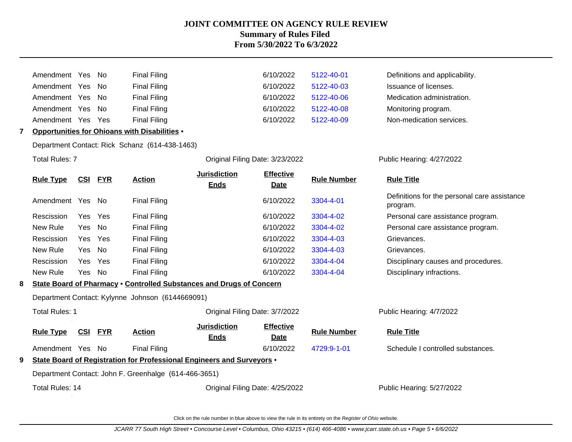|   | Amendment Yes          |            | No.        | <b>Final Filing</b>                                                    |                                    | 6/10/2022                       | 5122-40-01         | Definitions and applicability.                           |
|---|------------------------|------------|------------|------------------------------------------------------------------------|------------------------------------|---------------------------------|--------------------|----------------------------------------------------------|
|   | Amendment Yes          |            | No.        | <b>Final Filing</b>                                                    |                                    | 6/10/2022                       | 5122-40-03         | Issuance of licenses.                                    |
|   | Amendment Yes          |            | <b>No</b>  | <b>Final Filing</b>                                                    |                                    | 6/10/2022                       | 5122-40-06         | Medication administration.                               |
|   | Amendment Yes          |            | <b>No</b>  | <b>Final Filing</b>                                                    |                                    | 6/10/2022                       | 5122-40-08         | Monitoring program.                                      |
|   | Amendment Yes          |            | Yes        | <b>Final Filing</b>                                                    |                                    | 6/10/2022                       | 5122-40-09         | Non-medication services.                                 |
|   |                        |            |            | Opportunities for Ohioans with Disabilities .                          |                                    |                                 |                    |                                                          |
|   |                        |            |            | Department Contact: Rick Schanz (614-438-1463)                         |                                    |                                 |                    |                                                          |
|   | <b>Total Rules: 7</b>  |            |            |                                                                        | Original Filing Date: 3/23/2022    |                                 |                    | Public Hearing: 4/27/2022                                |
|   | <b>Rule Type</b>       | <u>CSI</u> | <b>FYR</b> | <b>Action</b>                                                          | <b>Jurisdiction</b><br><b>Ends</b> | <b>Effective</b><br><b>Date</b> | <b>Rule Number</b> | <b>Rule Title</b>                                        |
|   | Amendment Yes          |            | No         | <b>Final Filing</b>                                                    |                                    | 6/10/2022                       | 3304-4-01          | Definitions for the personal care assistance<br>program. |
|   | Rescission             | Yes        | Yes        | <b>Final Filing</b>                                                    |                                    | 6/10/2022                       | 3304-4-02          | Personal care assistance program.                        |
|   | New Rule               | Yes        | No         | <b>Final Filing</b>                                                    |                                    | 6/10/2022                       | 3304-4-02          | Personal care assistance program.                        |
|   | Rescission             | Yes        | Yes        | <b>Final Filing</b>                                                    |                                    | 6/10/2022                       | 3304-4-03          | Grievances.                                              |
|   | New Rule               | Yes        | No         | <b>Final Filing</b>                                                    |                                    | 6/10/2022                       | 3304-4-03          | Grievances.                                              |
|   | Rescission             | Yes        | Yes        | <b>Final Filing</b>                                                    |                                    | 6/10/2022                       | 3304-4-04          | Disciplinary causes and procedures.                      |
|   | New Rule               | Yes        | <b>No</b>  | <b>Final Filing</b>                                                    |                                    | 6/10/2022                       | 3304-4-04          | Disciplinary infractions.                                |
| 8 |                        |            |            | State Board of Pharmacy . Controlled Substances and Drugs of Concern   |                                    |                                 |                    |                                                          |
|   |                        |            |            | Department Contact: Kylynne Johnson (6144669091)                       |                                    |                                 |                    |                                                          |
|   | <b>Total Rules: 1</b>  |            |            |                                                                        | Original Filing Date: 3/7/2022     |                                 |                    | Public Hearing: 4/7/2022                                 |
|   | <b>Rule Type</b>       | <b>CSI</b> | <b>FYR</b> | <b>Action</b>                                                          | <b>Jurisdiction</b><br><b>Ends</b> | <b>Effective</b><br><b>Date</b> | <b>Rule Number</b> | <b>Rule Title</b>                                        |
|   | Amendment Yes          |            | No         | <b>Final Filing</b>                                                    |                                    | 6/10/2022                       | 4729:9-1-01        | Schedule I controlled substances.                        |
| 9 |                        |            |            | State Board of Registration for Professional Engineers and Surveyors . |                                    |                                 |                    |                                                          |
|   |                        |            |            | Department Contact: John F. Greenhalge (614-466-3651)                  |                                    |                                 |                    |                                                          |
|   | <b>Total Rules: 14</b> |            |            |                                                                        | Original Filing Date: 4/25/2022    |                                 |                    | Public Hearing: 5/27/2022                                |
|   |                        |            |            |                                                                        |                                    |                                 |                    |                                                          |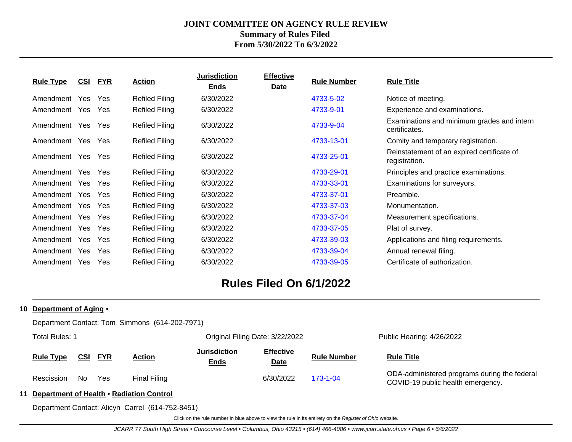| <b>Rule Type</b> | <u>CSI</u> | <b>FYR</b> | <b>Action</b>         | <b>Jurisdiction</b> | <b>Effective</b> | <b>Rule Number</b> | <b>Rule Title</b>                                           |
|------------------|------------|------------|-----------------------|---------------------|------------------|--------------------|-------------------------------------------------------------|
|                  |            |            |                       | <b>Ends</b>         | <u>Date</u>      |                    |                                                             |
| Amendment Yes    |            | Yes        | <b>Refiled Filing</b> | 6/30/2022           |                  | 4733-5-02          | Notice of meeting.                                          |
| Amendment Yes    |            | Yes        | <b>Refiled Filing</b> | 6/30/2022           |                  | 4733-9-01          | Experience and examinations.                                |
| Amendment Yes    |            | Yes        | <b>Refiled Filing</b> | 6/30/2022           |                  | 4733-9-04          | Examinations and minimum grades and intern<br>certificates. |
| Amendment Yes    |            | <b>Yes</b> | <b>Refiled Filing</b> | 6/30/2022           |                  | 4733-13-01         | Comity and temporary registration.                          |
| Amendment Yes    |            | Yes        | <b>Refiled Filing</b> | 6/30/2022           |                  | 4733-25-01         | Reinstatement of an expired certificate of<br>registration. |
| Amendment Yes    |            | Yes        | Refiled Filing        | 6/30/2022           |                  | 4733-29-01         | Principles and practice examinations.                       |
| Amendment Yes    |            | Yes        | <b>Refiled Filing</b> | 6/30/2022           |                  | 4733-33-01         | Examinations for surveyors.                                 |
| Amendment Yes    |            | Yes        | <b>Refiled Filing</b> | 6/30/2022           |                  | 4733-37-01         | Preamble.                                                   |
| Amendment Yes    |            | <b>Yes</b> | <b>Refiled Filing</b> | 6/30/2022           |                  | 4733-37-03         | Monumentation.                                              |
| Amendment Yes    |            | <b>Yes</b> | <b>Refiled Filing</b> | 6/30/2022           |                  | 4733-37-04         | Measurement specifications.                                 |
| Amendment Yes    |            | Yes        | <b>Refiled Filing</b> | 6/30/2022           |                  | 4733-37-05         | Plat of survey.                                             |
| Amendment Yes    |            | <b>Yes</b> | Refiled Filing        | 6/30/2022           |                  | 4733-39-03         | Applications and filing requirements.                       |
| Amendment        | Yes        | <b>Yes</b> | <b>Refiled Filing</b> | 6/30/2022           |                  | 4733-39-04         | Annual renewal filing.                                      |
| Amendment Yes    |            | Yes        | <b>Refiled Filing</b> | 6/30/2022           |                  | 4733-39-05         | Certificate of authorization.                               |

## **Rules Filed On 6/1/2022**

#### **10 Department of Aging** •

Department Contact: Tom Simmons (614-202-7971)

| Total Rules: 1   |            |            |                     | Original Filing Date: 3/22/2022    |                          |                    | Public Hearing: 4/26/2022                                                         |
|------------------|------------|------------|---------------------|------------------------------------|--------------------------|--------------------|-----------------------------------------------------------------------------------|
| <b>Rule Type</b> | <u>CSI</u> | <b>FYR</b> | <b>Action</b>       | <b>Jurisdiction</b><br><u>Ends</u> | <b>Effective</b><br>Date | <b>Rule Number</b> | <b>Rule Title</b>                                                                 |
| Rescission       | No         | Yes        | <b>Final Filing</b> |                                    | 6/30/2022                | $173 - 1 - 04$     | ODA-administered programs during the federal<br>COVID-19 public health emergency. |

#### **11 Department of Health** • **Radiation Control**

Department Contact: Alicyn Carrel (614-752-8451)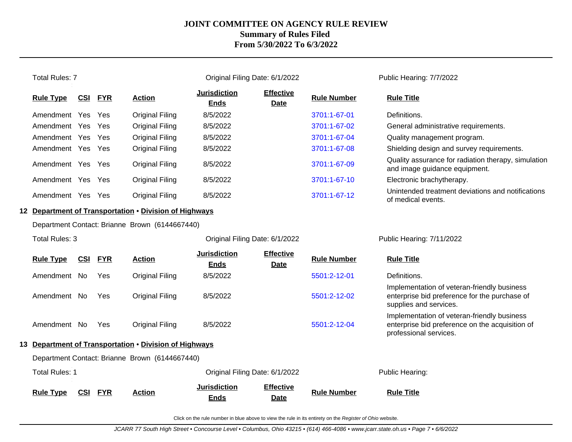|                                                | <b>Total Rules: 7</b>                                                                 |            |            |                                                        |                                    | Original Filing Date: 6/1/2022  |                    | Public Hearing: 7/7/2022                                                                                                 |
|------------------------------------------------|---------------------------------------------------------------------------------------|------------|------------|--------------------------------------------------------|------------------------------------|---------------------------------|--------------------|--------------------------------------------------------------------------------------------------------------------------|
|                                                | <u>CSI</u><br><b>FYR</b><br><b>Action</b><br><b>Rule Type</b><br>Amendment Yes<br>Yes |            |            | <b>Jurisdiction</b><br><b>Ends</b>                     | <b>Effective</b><br><b>Date</b>    | <b>Rule Number</b>              | <b>Rule Title</b>  |                                                                                                                          |
|                                                |                                                                                       |            |            | <b>Original Filing</b>                                 | 8/5/2022                           |                                 | 3701:1-67-01       | Definitions.                                                                                                             |
|                                                | Amendment Yes                                                                         |            | Yes        | <b>Original Filing</b>                                 | 8/5/2022                           |                                 | 3701:1-67-02       | General administrative requirements.                                                                                     |
|                                                | Amendment Yes                                                                         |            | Yes        | Original Filing                                        | 8/5/2022                           |                                 | 3701:1-67-04       | Quality management program.                                                                                              |
|                                                | Amendment Yes Yes                                                                     |            |            | <b>Original Filing</b>                                 | 8/5/2022                           |                                 | 3701:1-67-08       | Shielding design and survey requirements.                                                                                |
|                                                | Amendment Yes Yes                                                                     |            |            | <b>Original Filing</b>                                 | 8/5/2022                           |                                 | 3701:1-67-09       | Quality assurance for radiation therapy, simulation<br>and image guidance equipment.                                     |
|                                                | Amendment Yes Yes                                                                     |            |            | Original Filing                                        | 8/5/2022                           |                                 | 3701:1-67-10       | Electronic brachytherapy.                                                                                                |
|                                                | Amendment Yes Yes                                                                     |            |            | Original Filing                                        | 8/5/2022                           |                                 | 3701:1-67-12       | Unintended treatment deviations and notifications<br>of medical events.                                                  |
|                                                |                                                                                       |            |            | 12 Department of Transportation . Division of Highways |                                    |                                 |                    |                                                                                                                          |
|                                                |                                                                                       |            |            | Department Contact: Brianne Brown (6144667440)         |                                    |                                 |                    |                                                                                                                          |
|                                                | Total Rules: 3                                                                        |            |            |                                                        |                                    | Original Filing Date: 6/1/2022  |                    | Public Hearing: 7/11/2022                                                                                                |
|                                                | <b>Rule Type</b>                                                                      | <u>CSI</u> | <b>FYR</b> | <b>Action</b>                                          | <b>Jurisdiction</b><br><b>Ends</b> | <b>Effective</b><br><b>Date</b> | <b>Rule Number</b> | <b>Rule Title</b>                                                                                                        |
|                                                | Amendment No                                                                          |            | Yes        | Original Filing                                        | 8/5/2022                           |                                 | 5501:2-12-01       | Definitions.                                                                                                             |
|                                                | Amendment No                                                                          |            | Yes        | <b>Original Filing</b>                                 | 8/5/2022                           |                                 | 5501:2-12-02       | Implementation of veteran-friendly business<br>enterprise bid preference for the purchase of<br>supplies and services.   |
|                                                | Amendment No                                                                          |            | Yes        | <b>Original Filing</b>                                 | 8/5/2022                           |                                 | 5501:2-12-04       | Implementation of veteran-friendly business<br>enterprise bid preference on the acquisition of<br>professional services. |
|                                                |                                                                                       |            |            | 13 Department of Transportation . Division of Highways |                                    |                                 |                    |                                                                                                                          |
| Department Contact: Brianne Brown (6144667440) |                                                                                       |            |            |                                                        |                                    |                                 |                    |                                                                                                                          |
|                                                | <b>Total Rules: 1</b>                                                                 |            |            |                                                        |                                    | Original Filing Date: 6/1/2022  |                    | Public Hearing:                                                                                                          |
|                                                | <b>Rule Type</b>                                                                      | <b>CSI</b> | <b>FYR</b> | <b>Action</b>                                          | <b>Jurisdiction</b><br><b>Ends</b> | <b>Effective</b><br><b>Date</b> | <b>Rule Number</b> | <b>Rule Title</b>                                                                                                        |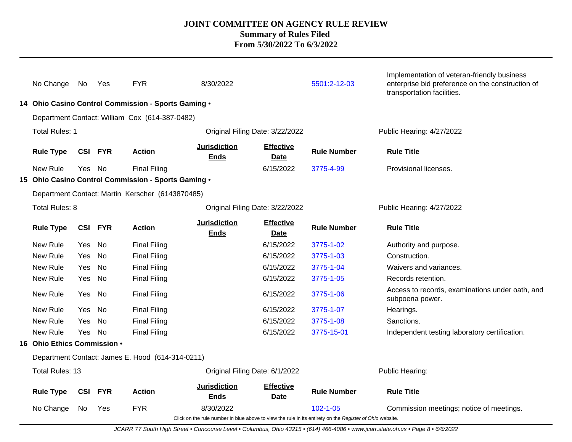|                                                  | No Change                   | No         | Yes        | <b>FYR</b>                                          | 8/30/2022                          |                                 | 5501:2-12-03                                                                                             | Implementation of veteran-friendly business<br>enterprise bid preference on the construction of<br>transportation facilities. |
|--------------------------------------------------|-----------------------------|------------|------------|-----------------------------------------------------|------------------------------------|---------------------------------|----------------------------------------------------------------------------------------------------------|-------------------------------------------------------------------------------------------------------------------------------|
|                                                  |                             |            |            | 14 Ohio Casino Control Commission - Sports Gaming . |                                    |                                 |                                                                                                          |                                                                                                                               |
|                                                  |                             |            |            | Department Contact: William Cox (614-387-0482)      |                                    |                                 |                                                                                                          |                                                                                                                               |
|                                                  | <b>Total Rules: 1</b>       |            |            |                                                     | Original Filing Date: 3/22/2022    |                                 |                                                                                                          | Public Hearing: 4/27/2022                                                                                                     |
|                                                  | <b>Rule Type</b>            | <u>CSI</u> | <b>FYR</b> | <b>Action</b>                                       | <b>Jurisdiction</b><br><b>Ends</b> | <b>Effective</b><br><b>Date</b> | <b>Rule Number</b>                                                                                       | <b>Rule Title</b>                                                                                                             |
|                                                  | New Rule                    | Yes        | No         | <b>Final Filing</b>                                 |                                    | 6/15/2022                       | 3775-4-99                                                                                                | Provisional licenses.                                                                                                         |
|                                                  |                             |            |            | 15 Ohio Casino Control Commission - Sports Gaming . |                                    |                                 |                                                                                                          |                                                                                                                               |
| Department Contact: Martin Kerscher (6143870485) |                             |            |            |                                                     |                                    |                                 |                                                                                                          |                                                                                                                               |
|                                                  | Total Rules: 8              |            |            |                                                     |                                    | Public Hearing: 4/27/2022       |                                                                                                          |                                                                                                                               |
|                                                  | <b>Rule Type</b>            | CSI        | <b>FYR</b> | <b>Action</b>                                       | <b>Jurisdiction</b><br><b>Ends</b> | <b>Effective</b><br><b>Date</b> | <b>Rule Number</b>                                                                                       | <b>Rule Title</b>                                                                                                             |
|                                                  | New Rule                    | Yes        | No.        | <b>Final Filing</b>                                 |                                    | 6/15/2022                       | 3775-1-02                                                                                                | Authority and purpose.                                                                                                        |
|                                                  | New Rule                    | Yes        | No         | <b>Final Filing</b>                                 |                                    | 6/15/2022                       | 3775-1-03                                                                                                | Construction.                                                                                                                 |
|                                                  | New Rule                    | Yes        | No         | <b>Final Filing</b>                                 |                                    | 6/15/2022                       | 3775-1-04                                                                                                | Waivers and variances.                                                                                                        |
|                                                  | New Rule                    | <b>Yes</b> | <b>No</b>  | <b>Final Filing</b>                                 |                                    | 6/15/2022                       | 3775-1-05                                                                                                | Records retention.                                                                                                            |
|                                                  | New Rule                    | <b>Yes</b> | <b>No</b>  | <b>Final Filing</b>                                 |                                    | 6/15/2022                       | 3775-1-06                                                                                                | Access to records, examinations under oath, and<br>subpoena power.                                                            |
|                                                  | New Rule                    | Yes        | No         | <b>Final Filing</b>                                 |                                    | 6/15/2022                       | 3775-1-07                                                                                                | Hearings.                                                                                                                     |
|                                                  | New Rule                    | <b>Yes</b> | No.        | <b>Final Filing</b>                                 |                                    | 6/15/2022                       | 3775-1-08                                                                                                | Sanctions.                                                                                                                    |
|                                                  | New Rule                    | Yes        | No.        | <b>Final Filing</b>                                 |                                    | 6/15/2022                       | 3775-15-01                                                                                               | Independent testing laboratory certification.                                                                                 |
|                                                  | 16 Ohio Ethics Commission . |            |            |                                                     |                                    |                                 |                                                                                                          |                                                                                                                               |
| Department Contact: James E. Hood (614-314-0211) |                             |            |            |                                                     |                                    |                                 |                                                                                                          |                                                                                                                               |
|                                                  | <b>Total Rules: 13</b>      |            |            |                                                     | Original Filing Date: 6/1/2022     |                                 |                                                                                                          | Public Hearing:                                                                                                               |
|                                                  | <b>Rule Type</b>            | <b>CSI</b> | <b>FYR</b> | <b>Action</b>                                       | <b>Jurisdiction</b><br><b>Ends</b> | <b>Effective</b><br>Date        | <b>Rule Number</b>                                                                                       | <b>Rule Title</b>                                                                                                             |
|                                                  | No Change                   | No.        | Yes        | <b>FYR</b>                                          | 8/30/2022                          |                                 | $102 - 1 - 05$                                                                                           | Commission meetings; notice of meetings.                                                                                      |
|                                                  |                             |            |            |                                                     |                                    |                                 | Click on the rule number in blue above to view the rule in its entirety on the Register of Ohio website. |                                                                                                                               |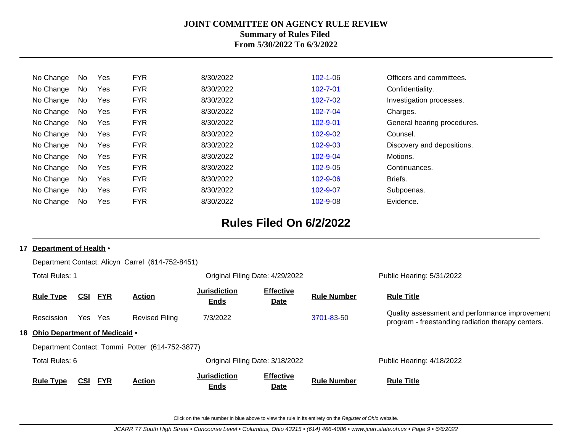| No Change | No | Yes        | <b>FYR</b> | 8/30/2022 | $102 - 1 - 06$ | Officers and committees.    |
|-----------|----|------------|------------|-----------|----------------|-----------------------------|
| No Change | No | Yes        | <b>FYR</b> | 8/30/2022 | $102 - 7 - 01$ | Confidentiality.            |
| No Change | No | Yes        | <b>FYR</b> | 8/30/2022 | $102 - 7 - 02$ | Investigation processes.    |
| No Change | No | Yes        | <b>FYR</b> | 8/30/2022 | $102 - 7 - 04$ | Charges.                    |
| No Change | No | <b>Yes</b> | <b>FYR</b> | 8/30/2022 | 102-9-01       | General hearing procedures. |
| No Change | No | <b>Yes</b> | <b>FYR</b> | 8/30/2022 | $102 - 9 - 02$ | Counsel.                    |
| No Change | No | Yes        | <b>FYR</b> | 8/30/2022 | 102-9-03       | Discovery and depositions.  |
| No Change | No | Yes        | <b>FYR</b> | 8/30/2022 | $102 - 9 - 04$ | Motions.                    |
| No Change | No | Yes        | <b>FYR</b> | 8/30/2022 | $102 - 9 - 05$ | Continuances.               |
| No Change | No | Yes        | <b>FYR</b> | 8/30/2022 | 102-9-06       | Briefs.                     |
| No Change | No | Yes        | <b>FYR</b> | 8/30/2022 | 102-9-07       | Subpoenas.                  |
| No Change | No | Yes        | <b>FYR</b> | 8/30/2022 | 102-9-08       | Evidence.                   |

## **Rules Filed On 6/2/2022**

#### **17 Department of Health** •

|                                                               |            |            | Department Contact: Alicyn Carrel (614-752-8451) |                                    |                                 |                                                                                                     |                           |
|---------------------------------------------------------------|------------|------------|--------------------------------------------------|------------------------------------|---------------------------------|-----------------------------------------------------------------------------------------------------|---------------------------|
| <b>Total Rules: 1</b>                                         |            |            |                                                  | Original Filing Date: 4/29/2022    |                                 |                                                                                                     | Public Hearing: 5/31/2022 |
| <b>Rule Type</b>                                              | <u>CSI</u> | <b>FYR</b> | <b>Action</b>                                    | <b>Jurisdiction</b><br><b>Ends</b> | <b>Effective</b><br><b>Date</b> | <b>Rule Number</b>                                                                                  | <b>Rule Title</b>         |
| Yes Yes<br><b>Revised Filing</b><br>Rescission                |            |            | 7/3/2022                                         |                                    | 3701-83-50                      | Quality assessment and performance improvement<br>program - freestanding radiation therapy centers. |                           |
| 18 Ohio Department of Medicaid .                              |            |            |                                                  |                                    |                                 |                                                                                                     |                           |
|                                                               |            |            | Department Contact: Tommi Potter (614-752-3877)  |                                    |                                 |                                                                                                     |                           |
| Total Rules: 6                                                |            |            |                                                  | Original Filing Date: 3/18/2022    |                                 |                                                                                                     | Public Hearing: 4/18/2022 |
| <b>Action</b><br><b>FYR</b><br><b>CSI</b><br><b>Rule Type</b> |            |            | <b>Jurisdiction</b><br><b>Ends</b>               | <b>Effective</b><br>Date           | <b>Rule Number</b>              | <b>Rule Title</b>                                                                                   |                           |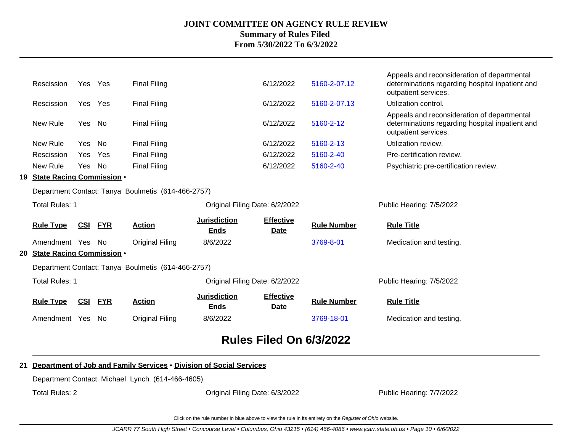|    | Rescission                       | Yes Yes    |            | <b>Final Filing</b>                                |                                    | 6/12/2022                       | 5160-2-07.12       | Appeals and reconsideration of departmental<br>determinations regarding hospital inpatient and<br>outpatient services. |
|----|----------------------------------|------------|------------|----------------------------------------------------|------------------------------------|---------------------------------|--------------------|------------------------------------------------------------------------------------------------------------------------|
|    | Rescission                       | Yes        | Yes        | <b>Final Filing</b>                                |                                    | 6/12/2022                       | 5160-2-07.13       | Utilization control.                                                                                                   |
|    | New Rule                         | Yes No     |            | <b>Final Filing</b>                                |                                    | 6/12/2022                       | 5160-2-12          | Appeals and reconsideration of departmental<br>determinations regarding hospital inpatient and<br>outpatient services. |
|    | New Rule                         | Yes        | No         | <b>Final Filing</b>                                |                                    | 6/12/2022                       | 5160-2-13          | Utilization review.                                                                                                    |
|    | Rescission                       | Yes        | Yes        | <b>Final Filing</b>                                |                                    | 6/12/2022                       | 5160-2-40          | Pre-certification review.                                                                                              |
|    | New Rule                         | Yes.       | No         | <b>Final Filing</b>                                |                                    | 6/12/2022                       | 5160-2-40          | Psychiatric pre-certification review.                                                                                  |
| 19 | <b>State Racing Commission .</b> |            |            |                                                    |                                    |                                 |                    |                                                                                                                        |
|    |                                  |            |            | Department Contact: Tanya Boulmetis (614-466-2757) |                                    |                                 |                    |                                                                                                                        |
|    | <b>Total Rules: 1</b>            |            |            |                                                    | Original Filing Date: 6/2/2022     |                                 |                    | Public Hearing: 7/5/2022                                                                                               |
|    | <b>Rule Type</b>                 | <u>CSI</u> | <b>FYR</b> | <b>Action</b>                                      | <b>Jurisdiction</b><br><b>Ends</b> | <b>Effective</b><br><b>Date</b> | <b>Rule Number</b> | <b>Rule Title</b>                                                                                                      |
|    | Amendment Yes No                 |            |            | Original Filing                                    | 8/6/2022                           |                                 | 3769-8-01          | Medication and testing.                                                                                                |
| 20 | <b>State Racing Commission •</b> |            |            |                                                    |                                    |                                 |                    |                                                                                                                        |
|    |                                  |            |            | Department Contact: Tanya Boulmetis (614-466-2757) |                                    |                                 |                    |                                                                                                                        |
|    | <b>Total Rules: 1</b>            |            |            |                                                    | Original Filing Date: 6/2/2022     |                                 |                    | Public Hearing: 7/5/2022                                                                                               |
|    | <b>Rule Type</b>                 | <u>CSI</u> | <b>FYR</b> | <b>Action</b>                                      | <b>Jurisdiction</b><br><b>Ends</b> | <b>Effective</b><br><b>Date</b> | <b>Rule Number</b> | <b>Rule Title</b>                                                                                                      |
|    | Amendment Yes                    |            | No.        | Original Filing                                    | 8/6/2022                           |                                 | 3769-18-01         | Medication and testing.                                                                                                |
|    |                                  |            |            |                                                    |                                    |                                 |                    |                                                                                                                        |

# **Rules Filed On 6/3/2022**

## **21 Department of Job and Family Services** • **Division of Social Services**

Department Contact: Michael Lynch (614-466-4605)

Total Rules: 2

Original Filing Date: 6/3/2022 Public Hearing: 7/7/2022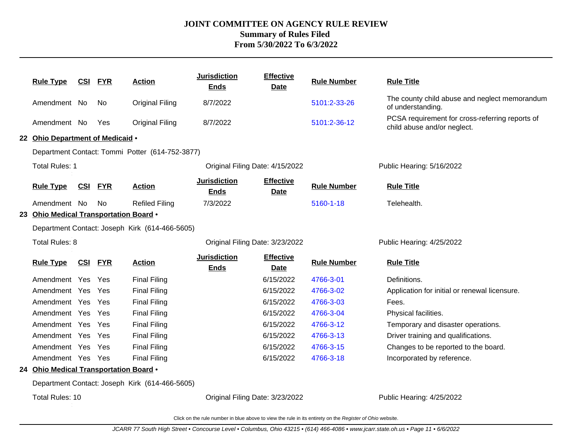|                                                 | <b>Rule Type</b>                               | <u>CSI</u>                      | <b>FYR</b> | <b>Action</b>          | <b>Jurisdiction</b><br><b>Ends</b> | <b>Effective</b><br><b>Date</b> | <b>Rule Number</b> | <b>Rule Title</b>                                                              |  |  |
|-------------------------------------------------|------------------------------------------------|---------------------------------|------------|------------------------|------------------------------------|---------------------------------|--------------------|--------------------------------------------------------------------------------|--|--|
|                                                 | Amendment No                                   |                                 | No         | Original Filing        | 8/7/2022                           |                                 | 5101:2-33-26       | The county child abuse and neglect memorandum<br>of understanding.             |  |  |
|                                                 | Amendment No                                   |                                 | Yes        | <b>Original Filing</b> | 8/7/2022                           |                                 | 5101:2-36-12       | PCSA requirement for cross-referring reports of<br>child abuse and/or neglect. |  |  |
|                                                 | 22 Ohio Department of Medicaid .               |                                 |            |                        |                                    |                                 |                    |                                                                                |  |  |
| Department Contact: Tommi Potter (614-752-3877) |                                                |                                 |            |                        |                                    |                                 |                    |                                                                                |  |  |
|                                                 | <b>Total Rules: 1</b>                          |                                 |            |                        | Original Filing Date: 4/15/2022    |                                 |                    | Public Hearing: 5/16/2022                                                      |  |  |
|                                                 | <b>Rule Type</b>                               | <u>CSI</u>                      | <b>FYR</b> | <b>Action</b>          | <b>Jurisdiction</b><br><b>Ends</b> | <b>Effective</b><br><b>Date</b> | <b>Rule Number</b> | <b>Rule Title</b>                                                              |  |  |
|                                                 | Amendment No                                   |                                 | No         | <b>Refiled Filing</b>  | 7/3/2022                           |                                 | 5160-1-18          | Telehealth.                                                                    |  |  |
|                                                 | 23 Ohio Medical Transportation Board .         |                                 |            |                        |                                    |                                 |                    |                                                                                |  |  |
| Department Contact: Joseph Kirk (614-466-5605)  |                                                |                                 |            |                        |                                    |                                 |                    |                                                                                |  |  |
|                                                 | Total Rules: 8                                 | Original Filing Date: 3/23/2022 |            |                        | Public Hearing: 4/25/2022          |                                 |                    |                                                                                |  |  |
|                                                 | <b>Rule Type</b>                               | <u>CSI</u>                      | <b>FYR</b> | <b>Action</b>          | <b>Jurisdiction</b><br><b>Ends</b> | <b>Effective</b><br><b>Date</b> | <b>Rule Number</b> | <b>Rule Title</b>                                                              |  |  |
|                                                 | Amendment Yes                                  |                                 | Yes        | <b>Final Filing</b>    |                                    | 6/15/2022                       | 4766-3-01          | Definitions.                                                                   |  |  |
|                                                 | Amendment Yes                                  |                                 | Yes        | <b>Final Filing</b>    |                                    | 6/15/2022                       | 4766-3-02          | Application for initial or renewal licensure.                                  |  |  |
|                                                 | Amendment Yes                                  |                                 | Yes        | <b>Final Filing</b>    |                                    | 6/15/2022                       | 4766-3-03          | Fees.                                                                          |  |  |
|                                                 | Amendment Yes                                  |                                 | Yes        | <b>Final Filing</b>    |                                    | 6/15/2022                       | 4766-3-04          | Physical facilities.                                                           |  |  |
|                                                 | Amendment Yes                                  |                                 | Yes        | <b>Final Filing</b>    |                                    | 6/15/2022                       | 4766-3-12          | Temporary and disaster operations.                                             |  |  |
|                                                 | Amendment Yes                                  |                                 | Yes        | <b>Final Filing</b>    |                                    | 6/15/2022                       | 4766-3-13          | Driver training and qualifications.                                            |  |  |
|                                                 | Amendment Yes                                  |                                 | Yes        | <b>Final Filing</b>    |                                    | 6/15/2022                       | 4766-3-15          | Changes to be reported to the board.                                           |  |  |
|                                                 | Amendment Yes Yes                              |                                 |            | <b>Final Filing</b>    |                                    | 6/15/2022                       | 4766-3-18          | Incorporated by reference.                                                     |  |  |
|                                                 | 24 Ohio Medical Transportation Board .         |                                 |            |                        |                                    |                                 |                    |                                                                                |  |  |
|                                                 | Department Contact: Joseph Kirk (614-466-5605) |                                 |            |                        |                                    |                                 |                    |                                                                                |  |  |
|                                                 |                                                |                                 |            |                        |                                    |                                 |                    |                                                                                |  |  |

Total Rules: 10

Original Filing Date: 3/23/2022 Public Hearing: 4/25/2022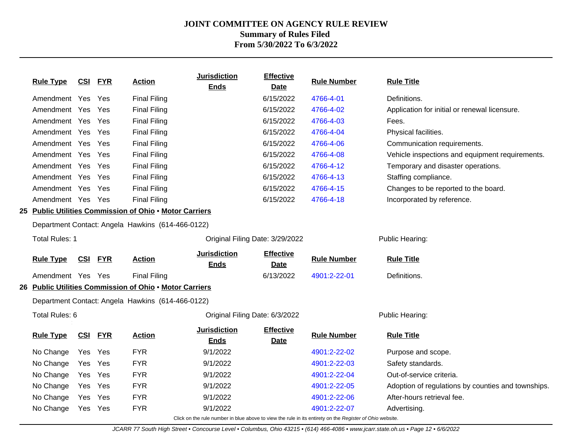|                                                   | <b>Rule Type</b>                                         | <u>CSI</u> | <u>FYR</u> | <b>Action</b>                                           | <b>Jurisdiction</b><br><b>Ends</b> | <b>Effective</b><br><b>Date</b> | <b>Rule Number</b> | <b>Rule Title</b>                                  |
|---------------------------------------------------|----------------------------------------------------------|------------|------------|---------------------------------------------------------|------------------------------------|---------------------------------|--------------------|----------------------------------------------------|
|                                                   | Amendment Yes                                            |            | Yes        | <b>Final Filing</b>                                     |                                    | 6/15/2022                       | 4766-4-01          | Definitions.                                       |
|                                                   | Amendment Yes                                            |            | Yes        | <b>Final Filing</b>                                     |                                    | 6/15/2022                       | 4766-4-02          | Application for initial or renewal licensure.      |
|                                                   | Amendment Yes                                            |            | Yes        | <b>Final Filing</b>                                     |                                    | 6/15/2022                       | 4766-4-03          | Fees.                                              |
|                                                   | Amendment Yes                                            |            | Yes        | <b>Final Filing</b>                                     |                                    | 6/15/2022                       | 4766-4-04          | Physical facilities.                               |
|                                                   | Amendment Yes                                            |            | Yes        | <b>Final Filing</b>                                     |                                    | 6/15/2022                       | 4766-4-06          | Communication requirements.                        |
|                                                   | Amendment Yes                                            |            | Yes        | <b>Final Filing</b>                                     |                                    | 6/15/2022                       | 4766-4-08          | Vehicle inspections and equipment requirements.    |
|                                                   | Amendment Yes                                            |            | Yes        | <b>Final Filing</b>                                     |                                    | 6/15/2022                       | 4766-4-12          | Temporary and disaster operations.                 |
|                                                   | Amendment Yes Yes                                        |            |            | <b>Final Filing</b>                                     |                                    | 6/15/2022                       | 4766-4-13          | Staffing compliance.                               |
|                                                   | Amendment Yes                                            |            | Yes        | <b>Final Filing</b>                                     |                                    | 6/15/2022                       | 4766-4-15          | Changes to be reported to the board.               |
|                                                   | Amendment Yes Yes                                        |            |            | <b>Final Filing</b>                                     |                                    | 6/15/2022                       | 4766-4-18          | Incorporated by reference.                         |
|                                                   |                                                          |            |            | 25 Public Utilities Commission of Ohio . Motor Carriers |                                    |                                 |                    |                                                    |
| Department Contact: Angela Hawkins (614-466-0122) |                                                          |            |            |                                                         |                                    |                                 |                    |                                                    |
|                                                   | <b>Total Rules: 1</b><br>Original Filing Date: 3/29/2022 |            |            |                                                         |                                    | Public Hearing:                 |                    |                                                    |
|                                                   | <b>Rule Type</b>                                         | <u>CSI</u> | <u>FYR</u> | <b>Action</b>                                           | <b>Jurisdiction</b><br><b>Ends</b> | <b>Effective</b><br><b>Date</b> | <b>Rule Number</b> | <b>Rule Title</b>                                  |
|                                                   | Amendment Yes Yes                                        |            |            | <b>Final Filing</b>                                     |                                    | 6/13/2022                       | 4901:2-22-01       | Definitions.                                       |
|                                                   |                                                          |            |            | 26 Public Utilities Commission of Ohio . Motor Carriers |                                    |                                 |                    |                                                    |
| Department Contact: Angela Hawkins (614-466-0122) |                                                          |            |            |                                                         |                                    |                                 |                    |                                                    |
|                                                   |                                                          |            |            |                                                         |                                    |                                 |                    |                                                    |
|                                                   | Total Rules: 6                                           |            |            |                                                         | Original Filing Date: 6/3/2022     |                                 |                    | Public Hearing:                                    |
|                                                   | <b>Rule Type</b>                                         | <b>CSI</b> | <b>FYR</b> | <b>Action</b>                                           | <b>Jurisdiction</b><br><b>Ends</b> | <b>Effective</b><br>Date        | <b>Rule Number</b> | <b>Rule Title</b>                                  |
|                                                   | No Change                                                | Yes        | Yes        | <b>FYR</b>                                              | 9/1/2022                           |                                 | 4901:2-22-02       | Purpose and scope.                                 |
|                                                   | No Change                                                | Yes        | Yes        | <b>FYR</b>                                              | 9/1/2022                           |                                 | 4901:2-22-03       | Safety standards.                                  |
|                                                   | No Change                                                | Yes        | Yes        | <b>FYR</b>                                              | 9/1/2022                           |                                 | 4901:2-22-04       | Out-of-service criteria.                           |
|                                                   | No Change                                                | Yes        | Yes        | <b>FYR</b>                                              | 9/1/2022                           |                                 | 4901:2-22-05       | Adoption of regulations by counties and townships. |
|                                                   | No Change                                                | Yes        | Yes        | <b>FYR</b>                                              | 9/1/2022                           |                                 | 4901:2-22-06       | After-hours retrieval fee.                         |
|                                                   | No Change                                                | Yes Yes    |            | <b>FYR</b>                                              | 9/1/2022                           |                                 | 4901:2-22-07       | Advertising.                                       |

Click on the rule number in blue above to view the rule in its entirety on the Register of Ohio website.

JCARR 77 South High Street • Concourse Level • Columbus, Ohio 43215 • (614) 466-4086 • www.jcarr.state.oh.us • Page 12 • 6/6/2022